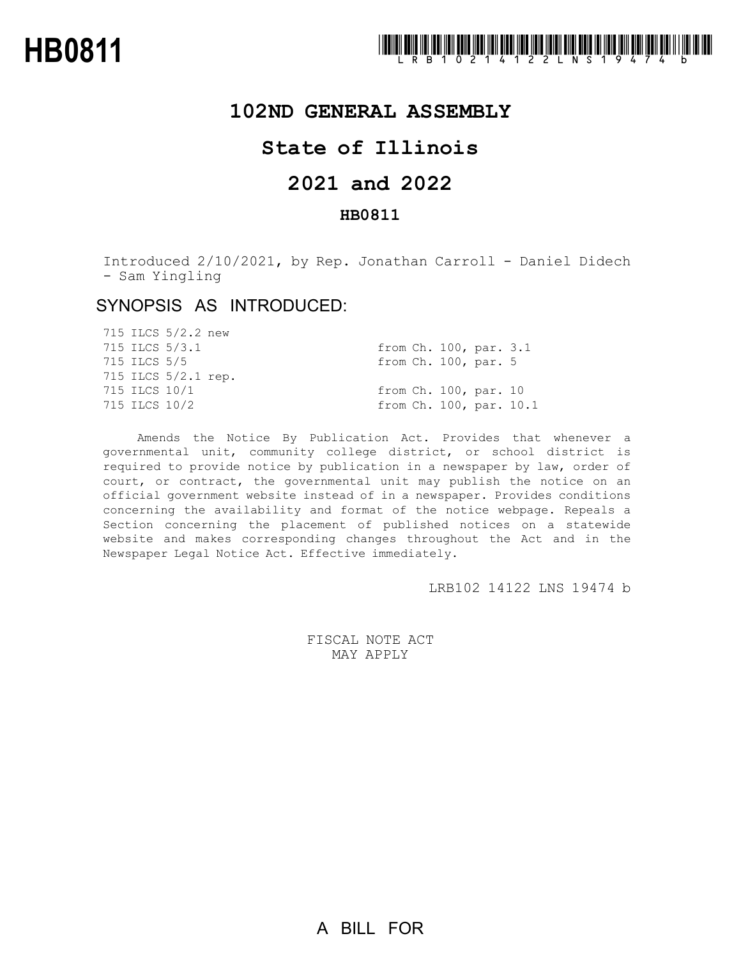

## **102ND GENERAL ASSEMBLY**

# **State of Illinois**

# **2021 and 2022**

#### **HB0811**

Introduced 2/10/2021, by Rep. Jonathan Carroll - Daniel Didech - Sam Yingling

## SYNOPSIS AS INTRODUCED:

|               | 715 ILCS 5/2.2 new  |                         |  |  |
|---------------|---------------------|-------------------------|--|--|
|               | 715 ILCS 5/3.1      | from Ch. 100, par. 3.1  |  |  |
| 715 ILCS 5/5  |                     | from Ch. 100, par. 5    |  |  |
|               | 715 ILCS 5/2.1 rep. |                         |  |  |
| 715 ILCS 10/1 |                     | from Ch. 100, par. 10   |  |  |
| 715 ILCS 10/2 |                     | from Ch. 100, par. 10.1 |  |  |

Amends the Notice By Publication Act. Provides that whenever a governmental unit, community college district, or school district is required to provide notice by publication in a newspaper by law, order of court, or contract, the governmental unit may publish the notice on an official government website instead of in a newspaper. Provides conditions concerning the availability and format of the notice webpage. Repeals a Section concerning the placement of published notices on a statewide website and makes corresponding changes throughout the Act and in the Newspaper Legal Notice Act. Effective immediately.

LRB102 14122 LNS 19474 b

FISCAL NOTE ACT MAY APPLY

A BILL FOR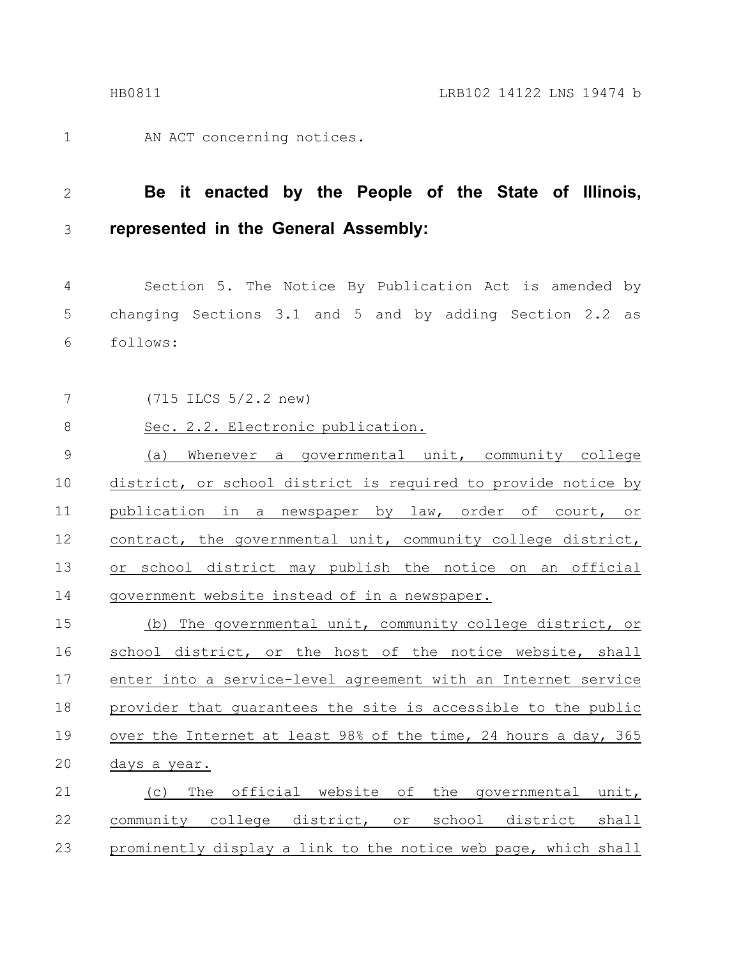1

AN ACT concerning notices.

#### **Be it enacted by the People of the State of Illinois, represented in the General Assembly:** 2 3

Section 5. The Notice By Publication Act is amended by changing Sections 3.1 and 5 and by adding Section 2.2 as follows: 4 5 6

(715 ILCS 5/2.2 new) 7

#### Sec. 2.2. Electronic publication. 8

(a) Whenever a governmental unit, community college district, or school district is required to provide notice by publication in a newspaper by law, order of court, or contract, the governmental unit, community college district, or school district may publish the notice on an official government website instead of in a newspaper. 9 10 11 12 13 14

(b) The governmental unit, community college district, or school district, or the host of the notice website, shall enter into a service-level agreement with an Internet service provider that guarantees the site is accessible to the public over the Internet at least 98% of the time, 24 hours a day, 365 days a year. 15 16 17 18 19 20

(c) The official website of the governmental unit, community college district, or school district shall prominently display a link to the notice web page, which shall 21 22 23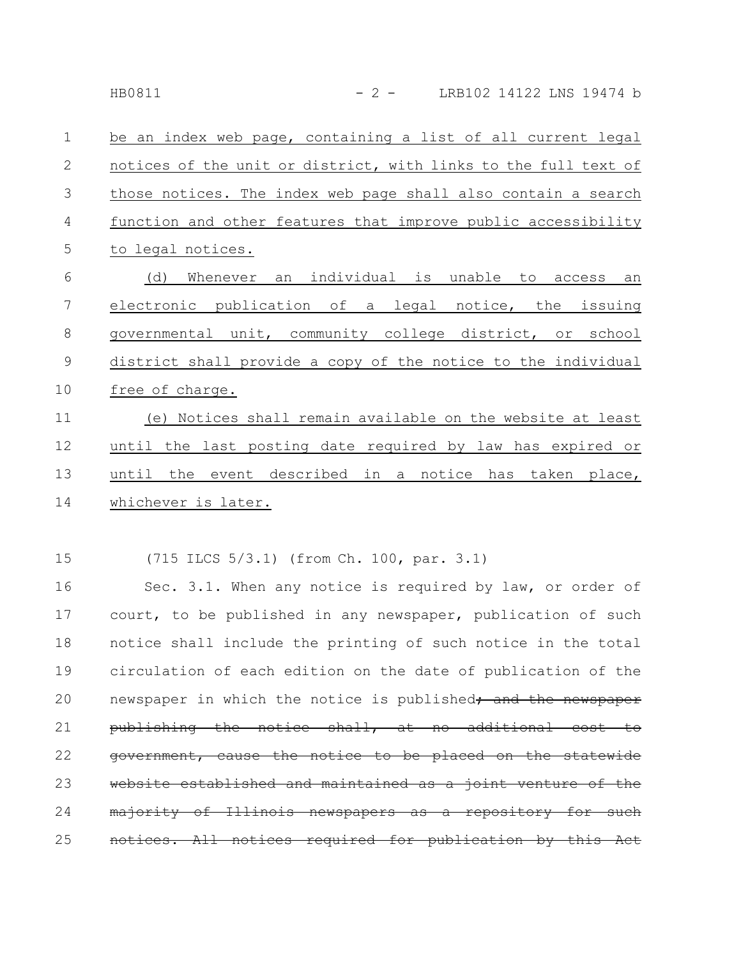| $\mathbf 1$    | be an index web page, containing a list of all current legal    |
|----------------|-----------------------------------------------------------------|
| 2              | notices of the unit or district, with links to the full text of |
| 3              | those notices. The index web page shall also contain a search   |
| $\overline{4}$ | function and other features that improve public accessibility   |
| 5              | to legal notices.                                               |
| $6\,$          | an individual is unable to access an<br>(d)<br>Whenever         |
| 7              | electronic publication of a legal notice, the issuing           |
| 8              | governmental unit, community college district, or school        |
| $\overline{9}$ | district shall provide a copy of the notice to the individual   |
| 10             | free of charge.                                                 |
| 11             | (e) Notices shall remain available on the website at least      |
| 12             | until the last posting date required by law has expired or      |
| 13             | until the event described in a notice has taken place,          |
| 14             | whichever is later.                                             |

(715 ILCS 5/3.1) (from Ch. 100, par. 3.1) 15

Sec. 3.1. When any notice is required by law, or order of court, to be published in any newspaper, publication of such notice shall include the printing of such notice in the total circulation of each edition on the date of publication of the newspaper in which the notice is published; and the newspaper publishing the notice shall, at no additional cost to government, cause the notice to be placed on the statewide website established and maintained as a joint venture of the majority of Illinois newspapers as a repository for such notices. All notices required for publication 16 17 18 19 20 21 22 23 24 25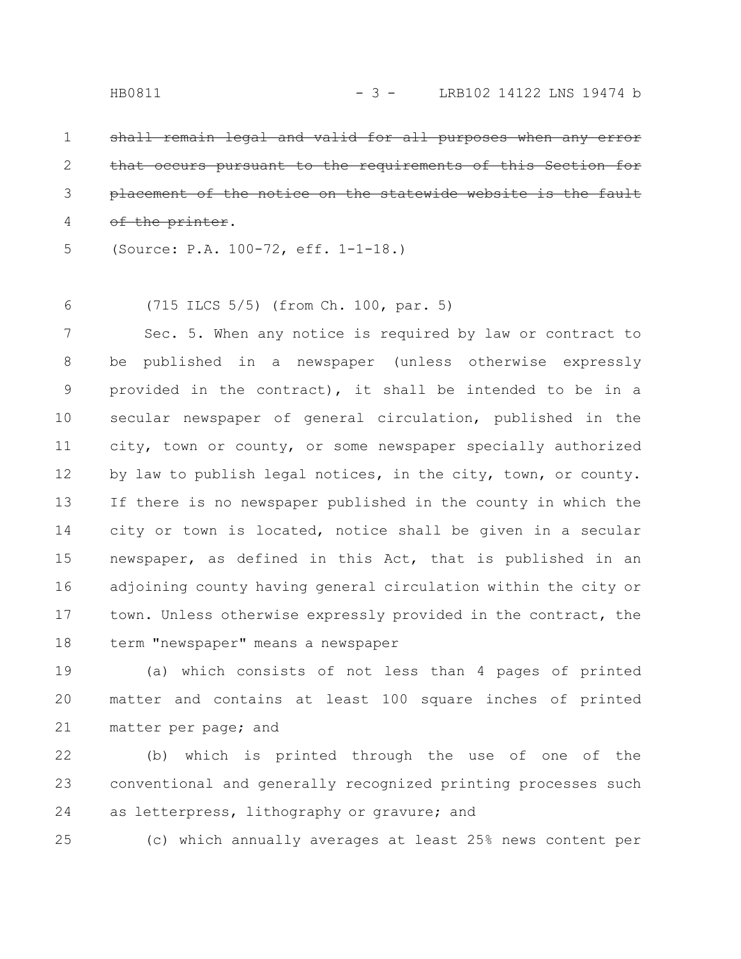shall remain legal and valid for all purposes when that occurs pursuant to the requirements of placement of the notice on the statewide of the printer. 1 2 3 4

(Source: P.A. 100-72, eff. 1-1-18.) 5

(715 ILCS 5/5) (from Ch. 100, par. 5) 6

Sec. 5. When any notice is required by law or contract to be published in a newspaper (unless otherwise expressly provided in the contract), it shall be intended to be in a secular newspaper of general circulation, published in the city, town or county, or some newspaper specially authorized by law to publish legal notices, in the city, town, or county. If there is no newspaper published in the county in which the city or town is located, notice shall be given in a secular newspaper, as defined in this Act, that is published in an adjoining county having general circulation within the city or town. Unless otherwise expressly provided in the contract, the term "newspaper" means a newspaper 7 8 9 10 11 12 13 14 15 16 17 18

(a) which consists of not less than 4 pages of printed matter and contains at least 100 square inches of printed matter per page; and 19 20 21

(b) which is printed through the use of one of the conventional and generally recognized printing processes such as letterpress, lithography or gravure; and 22 23 24

25

(c) which annually averages at least 25% news content per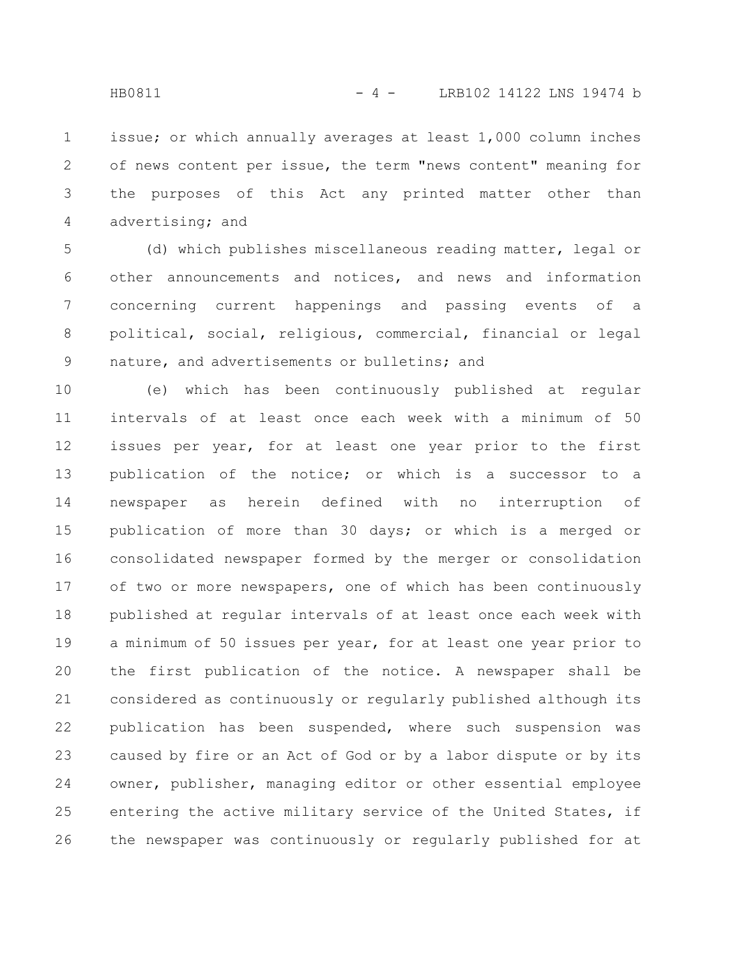issue; or which annually averages at least 1,000 column inches of news content per issue, the term "news content" meaning for the purposes of this Act any printed matter other than advertising; and 1 2 3 4

(d) which publishes miscellaneous reading matter, legal or other announcements and notices, and news and information concerning current happenings and passing events of a political, social, religious, commercial, financial or legal nature, and advertisements or bulletins; and 5 6 7 8 9

(e) which has been continuously published at regular intervals of at least once each week with a minimum of 50 issues per year, for at least one year prior to the first publication of the notice; or which is a successor to a newspaper as herein defined with no interruption of publication of more than 30 days; or which is a merged or consolidated newspaper formed by the merger or consolidation of two or more newspapers, one of which has been continuously published at regular intervals of at least once each week with a minimum of 50 issues per year, for at least one year prior to the first publication of the notice. A newspaper shall be considered as continuously or regularly published although its publication has been suspended, where such suspension was caused by fire or an Act of God or by a labor dispute or by its owner, publisher, managing editor or other essential employee entering the active military service of the United States, if the newspaper was continuously or regularly published for at 10 11 12 13 14 15 16 17 18 19 20 21 22 23 24 25 26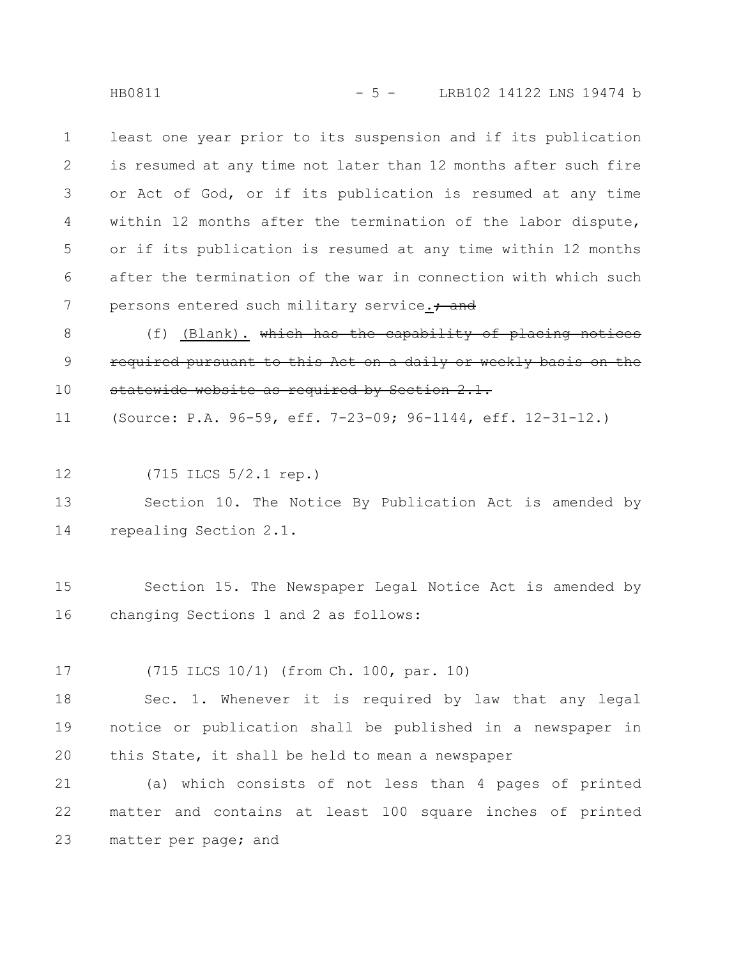HB0811 - 5 - LRB102 14122 LNS 19474 b

least one year prior to its suspension and if its publication is resumed at any time not later than 12 months after such fire or Act of God, or if its publication is resumed at any time within 12 months after the termination of the labor dispute, or if its publication is resumed at any time within 12 months after the termination of the war in connection with which such persons entered such military service.<sup>+</sup> and 1 2 3 4 5 6 7

(f) (Blank). which has the capability of placing required pursuant to this Act on a daily or weekly basis on the statewide website as required by Section 2.1. 8 9 10

(Source: P.A. 96-59, eff. 7-23-09; 96-1144, eff. 12-31-12.) 11

(715 ILCS 5/2.1 rep.) 12

Section 10. The Notice By Publication Act is amended by repealing Section 2.1. 13 14

Section 15. The Newspaper Legal Notice Act is amended by changing Sections 1 and 2 as follows: 15 16

(715 ILCS 10/1) (from Ch. 100, par. 10) 17

Sec. 1. Whenever it is required by law that any legal notice or publication shall be published in a newspaper in this State, it shall be held to mean a newspaper 18 19 20

(a) which consists of not less than 4 pages of printed matter and contains at least 100 square inches of printed matter per page; and 21 22 23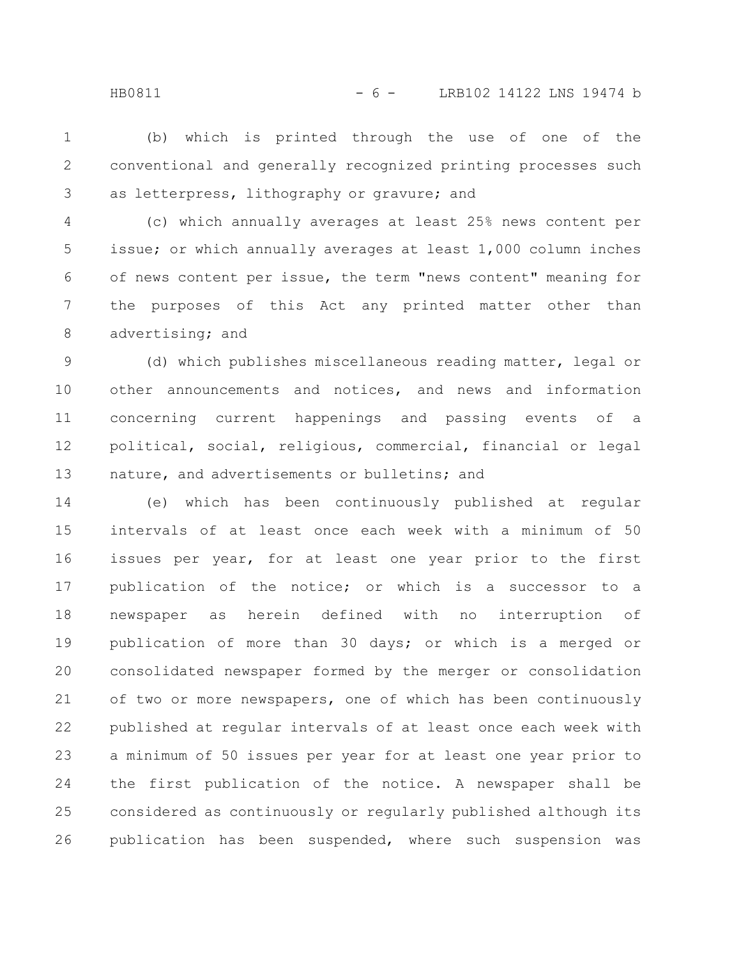(b) which is printed through the use of one of the conventional and generally recognized printing processes such as letterpress, lithography or gravure; and 1 2 3

(c) which annually averages at least 25% news content per issue; or which annually averages at least 1,000 column inches of news content per issue, the term "news content" meaning for the purposes of this Act any printed matter other than advertising; and 4 5 6 7 8

(d) which publishes miscellaneous reading matter, legal or other announcements and notices, and news and information concerning current happenings and passing events of a political, social, religious, commercial, financial or legal nature, and advertisements or bulletins; and 9 10 11 12 13

(e) which has been continuously published at regular intervals of at least once each week with a minimum of 50 issues per year, for at least one year prior to the first publication of the notice; or which is a successor to a newspaper as herein defined with no interruption of publication of more than 30 days; or which is a merged or consolidated newspaper formed by the merger or consolidation of two or more newspapers, one of which has been continuously published at regular intervals of at least once each week with a minimum of 50 issues per year for at least one year prior to the first publication of the notice. A newspaper shall be considered as continuously or regularly published although its publication has been suspended, where such suspension was 14 15 16 17 18 19 20 21 22 23 24 25 26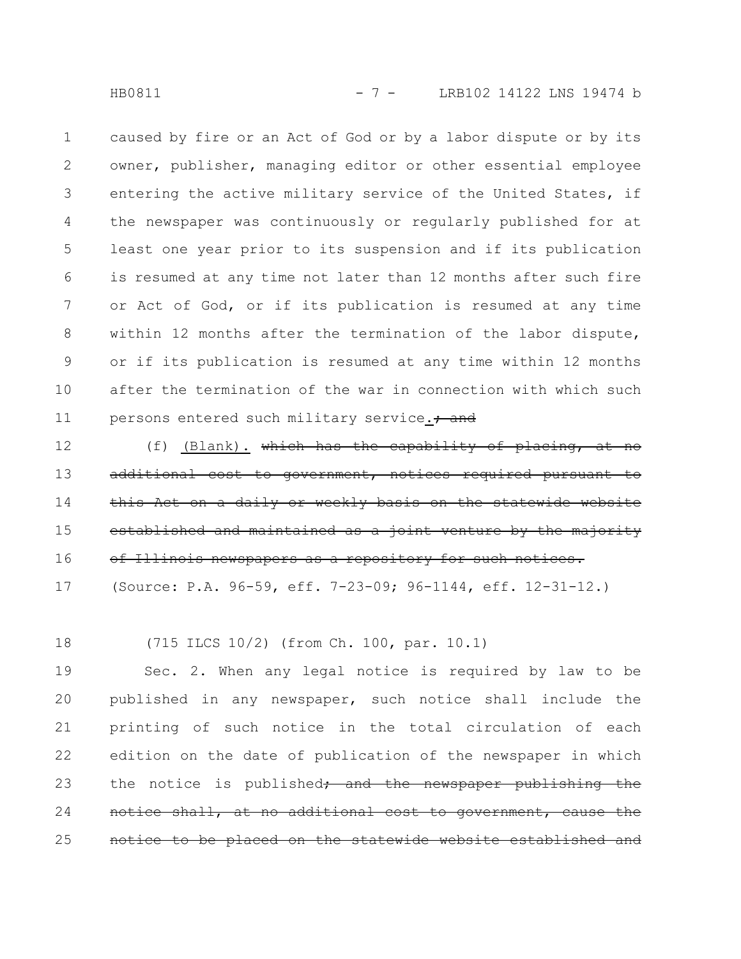HB0811 - 7 - LRB102 14122 LNS 19474 b

caused by fire or an Act of God or by a labor dispute or by its owner, publisher, managing editor or other essential employee entering the active military service of the United States, if the newspaper was continuously or regularly published for at least one year prior to its suspension and if its publication is resumed at any time not later than 12 months after such fire or Act of God, or if its publication is resumed at any time within 12 months after the termination of the labor dispute, or if its publication is resumed at any time within 12 months after the termination of the war in connection with which such persons entered such military service.<sup>+</sup> and 1 2 3 4 5 6 7 8 9 10 11

(f) (Blank). which has the capability of placing, at no additional cost to government, notices required pursuant this Act on a daily or weekly basis on the statewide website established and maintained as a joint venture by the majority of Illinois newspapers as a repository for such notices. (Source: P.A. 96-59, eff. 7-23-09; 96-1144, eff. 12-31-12.) 12 13 14 15 16 17

(715 ILCS 10/2) (from Ch. 100, par. 10.1) 18

Sec. 2. When any legal notice is required by law to be published in any newspaper, such notice shall include the printing of such notice in the total circulation of each edition on the date of publication of the newspaper in which the notice is published<del>; and the newspaper publishing the</del> notice shall, at no additional cost to government, notice to be placed on the statewide website 19 20 21 22 23 24 25